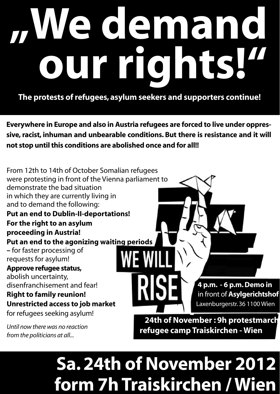# **"We demand our rights!"**

**The protests of refugees, asylum seekers and supporters continue!**

**Everywhere in Europe and also in Austria refugees are forced to live under oppressive, racist, inhuman and unbearable conditions. But there is resistance and it will not stop until this conditions are abolished once and for all!!**

From 12th to 14th of October Somalian refugees were protesting in front of the Vienna parliament to demonstrate the bad situation in which they are currently living in and to demand the following: **Put an end to Dublin-II-deportations! For the right to an asylum proceeding in Austria! Put an end to the agonizing waiting periods –** for faster processing of requests for asylum! **Approve refugee status,** abolish uncertainty, disenfranchisement and fear! **Right to family reunion! Unrestricted access to job market**  for refugees seeking asylum! *Until now there was no reaction*   **4 p.m. - 6 p.m. Demo in** in front of **Asylgerichtshof**  Laxenburgerstr. 36 1100 Wien  **24th of November : 9h protestmarch refugee camp Traiskirchen - Wien**

*from the politicians at all...*

## **Sa. 24th of November 2012 form 7h Traiskirchen / Wien**